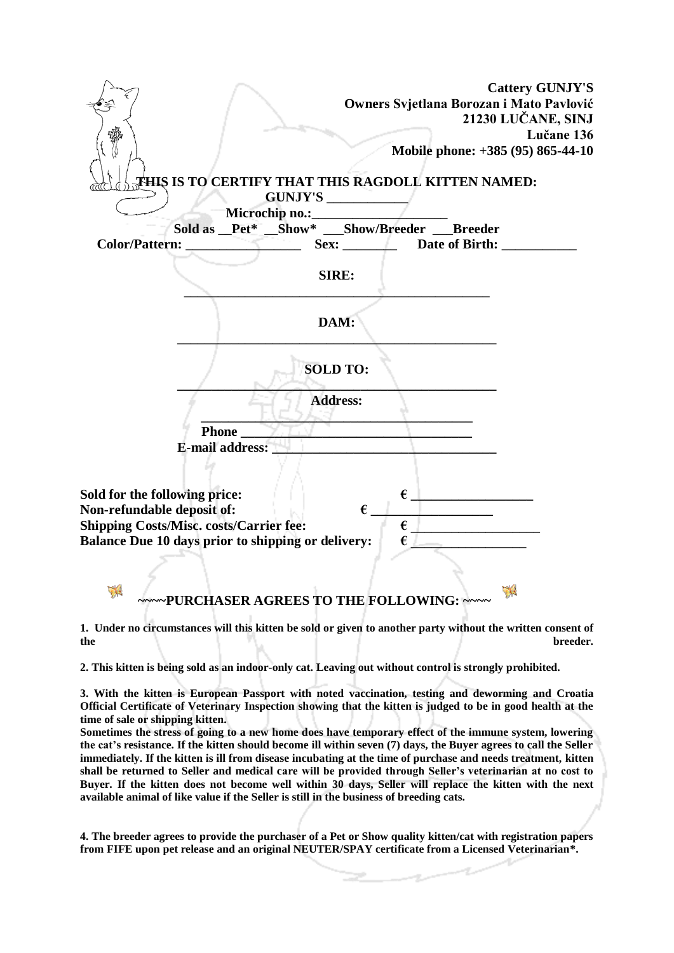| <b>Cattery GUNJY'S</b><br>Owners Svjetlana Borozan i Mato Pavlović<br>21230 LUČANE, SINJ                                       |
|--------------------------------------------------------------------------------------------------------------------------------|
| Lučane 136                                                                                                                     |
| Mobile phone: +385 (95) 865-44-10                                                                                              |
| THIS IS TO CERTIFY THAT THIS RAGDOLL KITTEN NAMED:<br>GUNJY'S                                                                  |
|                                                                                                                                |
| Sold as _Pet* _Show* _Show/Breeder __Breeder                                                                                   |
| Sex: Date of Birth:                                                                                                            |
| SIRE:                                                                                                                          |
|                                                                                                                                |
| DAM:                                                                                                                           |
| <b>SOLD TO:</b>                                                                                                                |
| <b>Address:</b>                                                                                                                |
|                                                                                                                                |
| <b>E-mail address:</b>                                                                                                         |
|                                                                                                                                |
| $\epsilon$<br>Sold for the following price:                                                                                    |
| Non-refundable deposit of:<br>$\epsilon$                                                                                       |
| <b>Shipping Costs/Misc. costs/Carrier fee:</b><br>$\epsilon$ $\perp$ $\qquad \qquad$                                           |
| $\epsilon_{\perp}$<br><b>Balance Due 10 days prior to shipping or delivery:</b>                                                |
|                                                                                                                                |
|                                                                                                                                |
| ٣Ŕ<br>~~~~ PURCHASER AGREES TO THE FOLLOWING: ~~~~                                                                             |
| 1. Under no circumstances will this kitten be sold or given to another party without the written consent of<br>the<br>breeder. |

**2. This kitten is being sold as an indoor-only cat. Leaving out without control is strongly prohibited.**

**3. With the kitten is European Passport with noted vaccination, testing and deworming and Croatia Official Certificate of Veterinary Inspection showing that the kitten is judged to be in good health at the time of sale or shipping kitten.** 

**Sometimes the stress of going to a new home does have temporary effect of the immune system, lowering the cat's resistance. If the kitten should become ill within seven (7) days, the Buyer agrees to call the Seller immediately. If the kitten is ill from disease incubating at the time of purchase and needs treatment, kitten shall be returned to Seller and medical care will be provided through Seller's veterinarian at no cost to Buyer. If the kitten does not become well within 30 days, Seller will replace the kitten with the next available animal of like value if the Seller is still in the business of breeding cats.** 

**4. The breeder agrees to provide the purchaser of a Pet or Show quality kitten/cat with registration papers from FIFE upon pet release and an original NEUTER/SPAY certificate from a Licensed Veterinarian\*.** 

ag,

÷.